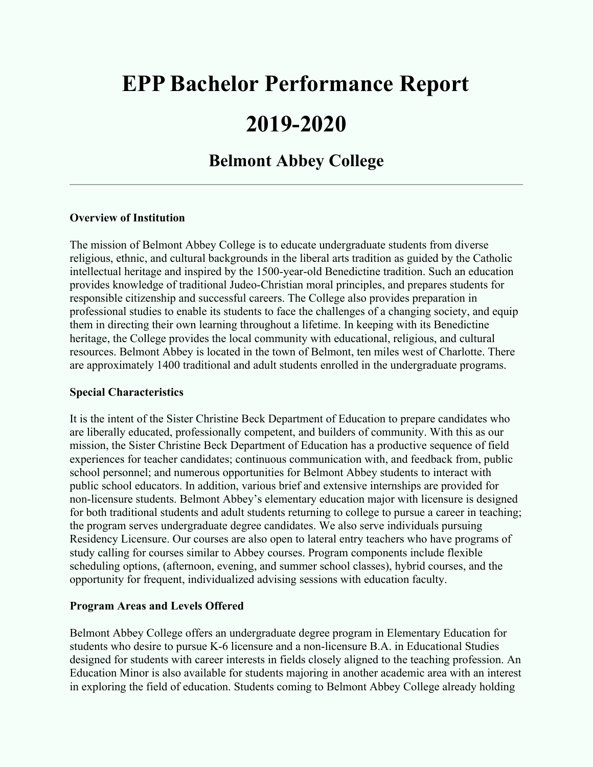# **EPP Bachelor Performance Report 2019-2020**

# **Belmont Abbey College**

#### **Overview of Institution**

The mission of Belmont Abbey College is to educate undergraduate students from diverse religious, ethnic, and cultural backgrounds in the liberal arts tradition as guided by the Catholic intellectual heritage and inspired by the 1500-year-old Benedictine tradition. Such an education provides knowledge of traditional Judeo-Christian moral principles, and prepares students for responsible citizenship and successful careers. The College also provides preparation in professional studies to enable its students to face the challenges of a changing society, and equip them in directing their own learning throughout a lifetime. In keeping with its Benedictine heritage, the College provides the local community with educational, religious, and cultural resources. Belmont Abbey is located in the town of Belmont, ten miles west of Charlotte. There are approximately 1400 traditional and adult students enrolled in the undergraduate programs.

#### **Special Characteristics**

It is the intent of the Sister Christine Beck Department of Education to prepare candidates who are liberally educated, professionally competent, and builders of community. With this as our mission, the Sister Christine Beck Department of Education has a productive sequence of field experiences for teacher candidates; continuous communication with, and feedback from, public school personnel; and numerous opportunities for Belmont Abbey students to interact with public school educators. In addition, various brief and extensive internships are provided for non-licensure students. Belmont Abbey's elementary education major with licensure is designed for both traditional students and adult students returning to college to pursue a career in teaching; the program serves undergraduate degree candidates. We also serve individuals pursuing Residency Licensure. Our courses are also open to lateral entry teachers who have programs of study calling for courses similar to Abbey courses. Program components include flexible scheduling options, (afternoon, evening, and summer school classes), hybrid courses, and the opportunity for frequent, individualized advising sessions with education faculty.

#### **Program Areas and Levels Offered**

Belmont Abbey College offers an undergraduate degree program in Elementary Education for students who desire to pursue K-6 licensure and a non-licensure B.A. in Educational Studies designed for students with career interests in fields closely aligned to the teaching profession. An Education Minor is also available for students majoring in another academic area with an interest in exploring the field of education. Students coming to Belmont Abbey College already holding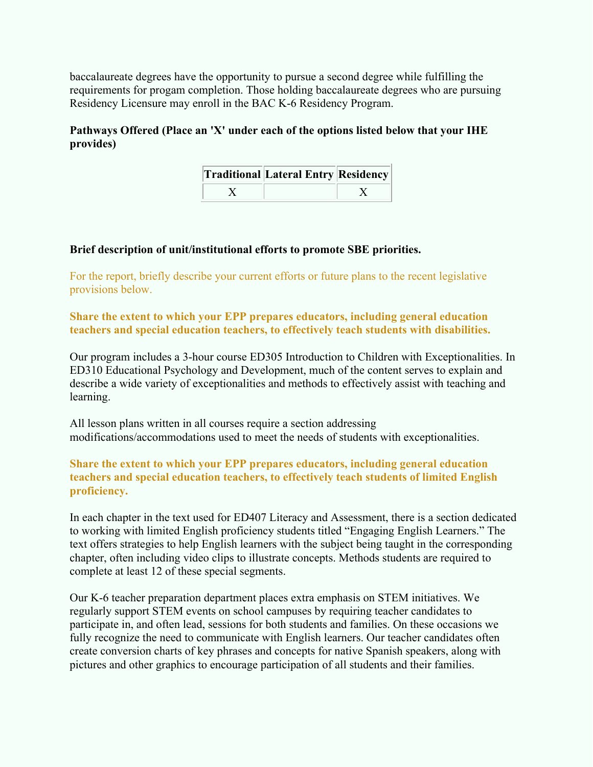baccalaureate degrees have the opportunity to pursue a second degree while fulfilling the requirements for progam completion. Those holding baccalaureate degrees who are pursuing Residency Licensure may enroll in the BAC K-6 Residency Program.

#### **Pathways Offered (Place an 'X' under each of the options listed below that your IHE provides)**

| <b>Traditional Lateral Entry Residency</b> |  |
|--------------------------------------------|--|
|                                            |  |

#### **Brief description of unit/institutional efforts to promote SBE priorities.**

For the report, briefly describe your current efforts or future plans to the recent legislative provisions below.

#### **Share the extent to which your EPP prepares educators, including general education teachers and special education teachers, to effectively teach students with disabilities.**

Our program includes a 3-hour course ED305 Introduction to Children with Exceptionalities. In ED310 Educational Psychology and Development, much of the content serves to explain and describe a wide variety of exceptionalities and methods to effectively assist with teaching and learning.

All lesson plans written in all courses require a section addressing modifications/accommodations used to meet the needs of students with exceptionalities.

#### **Share the extent to which your EPP prepares educators, including general education teachers and special education teachers, to effectively teach students of limited English proficiency.**

In each chapter in the text used for ED407 Literacy and Assessment, there is a section dedicated to working with limited English proficiency students titled "Engaging English Learners." The text offers strategies to help English learners with the subject being taught in the corresponding chapter, often including video clips to illustrate concepts. Methods students are required to complete at least 12 of these special segments.

Our K-6 teacher preparation department places extra emphasis on STEM initiatives. We regularly support STEM events on school campuses by requiring teacher candidates to participate in, and often lead, sessions for both students and families. On these occasions we fully recognize the need to communicate with English learners. Our teacher candidates often create conversion charts of key phrases and concepts for native Spanish speakers, along with pictures and other graphics to encourage participation of all students and their families.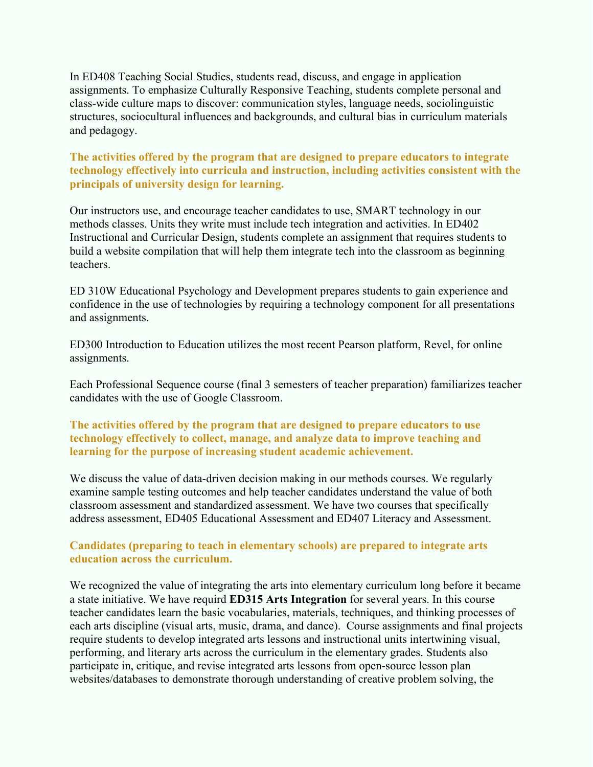In ED408 Teaching Social Studies, students read, discuss, and engage in application assignments. To emphasize Culturally Responsive Teaching, students complete personal and class-wide culture maps to discover: communication styles, language needs, sociolinguistic structures, sociocultural influences and backgrounds, and cultural bias in curriculum materials and pedagogy.

#### **The activities offered by the program that are designed to prepare educators to integrate technology effectively into curricula and instruction, including activities consistent with the principals of university design for learning.**

Our instructors use, and encourage teacher candidates to use, SMART technology in our methods classes. Units they write must include tech integration and activities. In ED402 Instructional and Curricular Design, students complete an assignment that requires students to build a website compilation that will help them integrate tech into the classroom as beginning teachers.

ED 310W Educational Psychology and Development prepares students to gain experience and confidence in the use of technologies by requiring a technology component for all presentations and assignments.

ED300 Introduction to Education utilizes the most recent Pearson platform, Revel, for online assignments.

Each Professional Sequence course (final 3 semesters of teacher preparation) familiarizes teacher candidates with the use of Google Classroom.

#### **The activities offered by the program that are designed to prepare educators to use technology effectively to collect, manage, and analyze data to improve teaching and learning for the purpose of increasing student academic achievement.**

We discuss the value of data-driven decision making in our methods courses. We regularly examine sample testing outcomes and help teacher candidates understand the value of both classroom assessment and standardized assessment. We have two courses that specifically address assessment, ED405 Educational Assessment and ED407 Literacy and Assessment.

#### **Candidates (preparing to teach in elementary schools) are prepared to integrate arts education across the curriculum.**

We recognized the value of integrating the arts into elementary curriculum long before it became a state initiative. We have requird **ED315 Arts Integration** for several years. In this course teacher candidates learn the basic vocabularies, materials, techniques, and thinking processes of each arts discipline (visual arts, music, drama, and dance). Course assignments and final projects require students to develop integrated arts lessons and instructional units intertwining visual, performing, and literary arts across the curriculum in the elementary grades. Students also participate in, critique, and revise integrated arts lessons from open-source lesson plan websites/databases to demonstrate thorough understanding of creative problem solving, the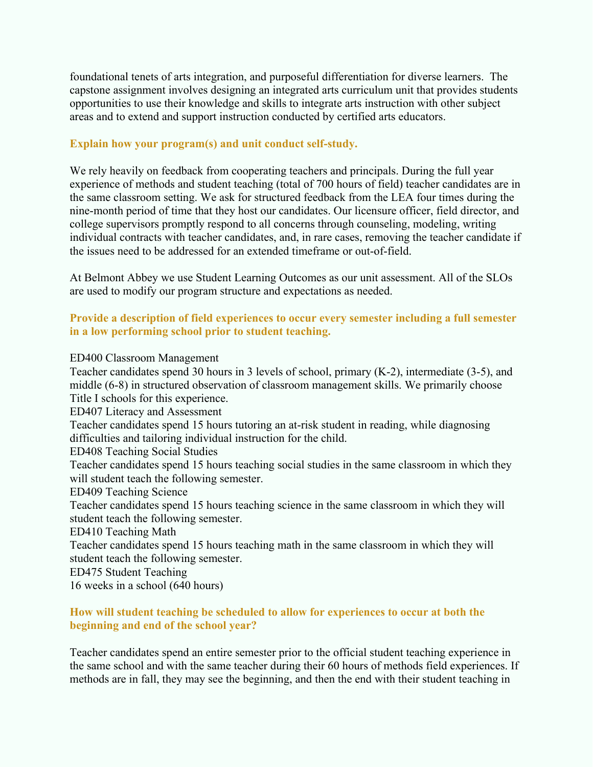foundational tenets of arts integration, and purposeful differentiation for diverse learners. The capstone assignment involves designing an integrated arts curriculum unit that provides students opportunities to use their knowledge and skills to integrate arts instruction with other subject areas and to extend and support instruction conducted by certified arts educators.

#### **Explain how your program(s) and unit conduct self-study.**

We rely heavily on feedback from cooperating teachers and principals. During the full year experience of methods and student teaching (total of 700 hours of field) teacher candidates are in the same classroom setting. We ask for structured feedback from the LEA four times during the nine-month period of time that they host our candidates. Our licensure officer, field director, and college supervisors promptly respond to all concerns through counseling, modeling, writing individual contracts with teacher candidates, and, in rare cases, removing the teacher candidate if the issues need to be addressed for an extended timeframe or out-of-field.

At Belmont Abbey we use Student Learning Outcomes as our unit assessment. All of the SLOs are used to modify our program structure and expectations as needed.

#### **Provide a description of field experiences to occur every semester including a full semester in a low performing school prior to student teaching.**

#### ED400 Classroom Management

Teacher candidates spend 30 hours in 3 levels of school, primary (K-2), intermediate (3-5), and middle (6-8) in structured observation of classroom management skills. We primarily choose Title I schools for this experience.

ED407 Literacy and Assessment

Teacher candidates spend 15 hours tutoring an at-risk student in reading, while diagnosing difficulties and tailoring individual instruction for the child.

ED408 Teaching Social Studies

Teacher candidates spend 15 hours teaching social studies in the same classroom in which they will student teach the following semester.

ED409 Teaching Science

Teacher candidates spend 15 hours teaching science in the same classroom in which they will student teach the following semester.

ED410 Teaching Math

Teacher candidates spend 15 hours teaching math in the same classroom in which they will student teach the following semester.

ED475 Student Teaching

16 weeks in a school (640 hours)

#### **How will student teaching be scheduled to allow for experiences to occur at both the beginning and end of the school year?**

Teacher candidates spend an entire semester prior to the official student teaching experience in the same school and with the same teacher during their 60 hours of methods field experiences. If methods are in fall, they may see the beginning, and then the end with their student teaching in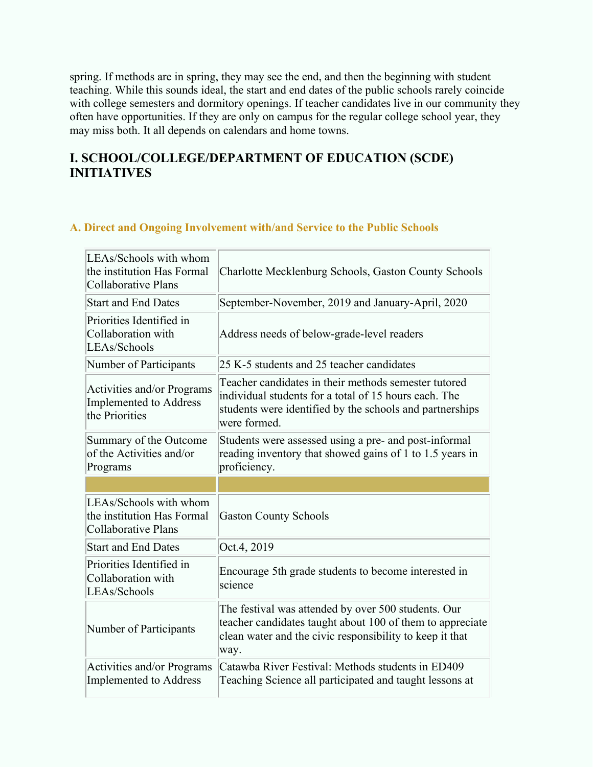spring. If methods are in spring, they may see the end, and then the beginning with student teaching. While this sounds ideal, the start and end dates of the public schools rarely coincide with college semesters and dormitory openings. If teacher candidates live in our community they often have opportunities. If they are only on campus for the regular college school year, they may miss both. It all depends on calendars and home towns.

# **I. SCHOOL/COLLEGE/DEPARTMENT OF EDUCATION (SCDE) INITIATIVES**

#### **A. Direct and Ongoing Involvement with/and Service to the Public Schools**

| LEAs/Schools with whom<br>the institution Has Formal<br>Collaborative Plans | Charlotte Mecklenburg Schools, Gaston County Schools                                                                                                                                      |
|-----------------------------------------------------------------------------|-------------------------------------------------------------------------------------------------------------------------------------------------------------------------------------------|
| <b>Start and End Dates</b>                                                  | September-November, 2019 and January-April, 2020                                                                                                                                          |
| Priorities Identified in<br>Collaboration with<br>LEAs/Schools              | Address needs of below-grade-level readers                                                                                                                                                |
| Number of Participants                                                      | 25 K-5 students and 25 teacher candidates                                                                                                                                                 |
| Activities and/or Programs<br>Implemented to Address<br>the Priorities      | Teacher candidates in their methods semester tutored<br>individual students for a total of 15 hours each. The<br>students were identified by the schools and partnerships<br>were formed. |
| Summary of the Outcome<br>of the Activities and/or<br>Programs              | Students were assessed using a pre- and post-informal<br>reading inventory that showed gains of 1 to 1.5 years in<br>proficiency.                                                         |
|                                                                             |                                                                                                                                                                                           |
|                                                                             |                                                                                                                                                                                           |
| LEAs/Schools with whom<br>the institution Has Formal<br>Collaborative Plans | <b>Gaston County Schools</b>                                                                                                                                                              |
| <b>Start and End Dates</b>                                                  | Oct.4, 2019                                                                                                                                                                               |
| Priorities Identified in<br>Collaboration with<br>LEAs/Schools              | Encourage 5th grade students to become interested in<br>science                                                                                                                           |
| Number of Participants                                                      | The festival was attended by over 500 students. Our<br>teacher candidates taught about 100 of them to appreciate<br>clean water and the civic responsibility to keep it that<br>way.      |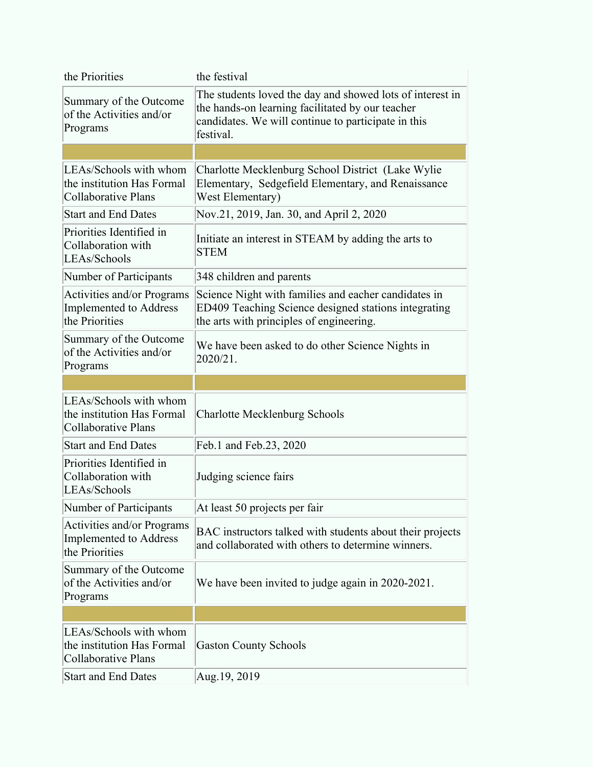| the Priorities                                                                     | the festival                                                                                                                                                                      |
|------------------------------------------------------------------------------------|-----------------------------------------------------------------------------------------------------------------------------------------------------------------------------------|
| Summary of the Outcome<br>of the Activities and/or<br>Programs                     | The students loved the day and showed lots of interest in<br>the hands-on learning facilitated by our teacher<br>candidates. We will continue to participate in this<br>festival. |
|                                                                                    |                                                                                                                                                                                   |
| LEAs/Schools with whom<br>the institution Has Formal<br><b>Collaborative Plans</b> | Charlotte Mecklenburg School District (Lake Wylie)<br>Elementary, Sedgefield Elementary, and Renaissance<br>West Elementary)                                                      |
| <b>Start and End Dates</b>                                                         | Nov.21, 2019, Jan. 30, and April 2, 2020                                                                                                                                          |
| Priorities Identified in<br>Collaboration with<br>LEAs/Schools                     | Initiate an interest in STEAM by adding the arts to<br><b>STEM</b>                                                                                                                |
| Number of Participants                                                             | 348 children and parents                                                                                                                                                          |
| Activities and/or Programs<br><b>Implemented to Address</b><br>the Priorities      | Science Night with families and eacher candidates in<br>ED409 Teaching Science designed stations integrating<br>the arts with principles of engineering.                          |
| Summary of the Outcome<br>of the Activities and/or<br>Programs                     | We have been asked to do other Science Nights in<br>2020/21.                                                                                                                      |
|                                                                                    |                                                                                                                                                                                   |
| LEAs/Schools with whom<br>the institution Has Formal<br><b>Collaborative Plans</b> | <b>Charlotte Mecklenburg Schools</b>                                                                                                                                              |
| <b>Start and End Dates</b>                                                         |                                                                                                                                                                                   |
|                                                                                    | Feb.1 and Feb.23, 2020                                                                                                                                                            |
| Priorities Identified in<br>Collaboration with<br>LEAs/Schools                     | Judging science fairs                                                                                                                                                             |
| Number of Participants                                                             | At least 50 projects per fair                                                                                                                                                     |
| Activities and/or Programs<br>Implemented to Address<br>the Priorities             | BAC instructors talked with students about their projects<br>and collaborated with others to determine winners.                                                                   |
| Summary of the Outcome<br>of the Activities and/or<br>Programs                     | We have been invited to judge again in 2020-2021.                                                                                                                                 |
|                                                                                    |                                                                                                                                                                                   |
| LEAs/Schools with whom<br>the institution Has Formal<br><b>Collaborative Plans</b> | <b>Gaston County Schools</b>                                                                                                                                                      |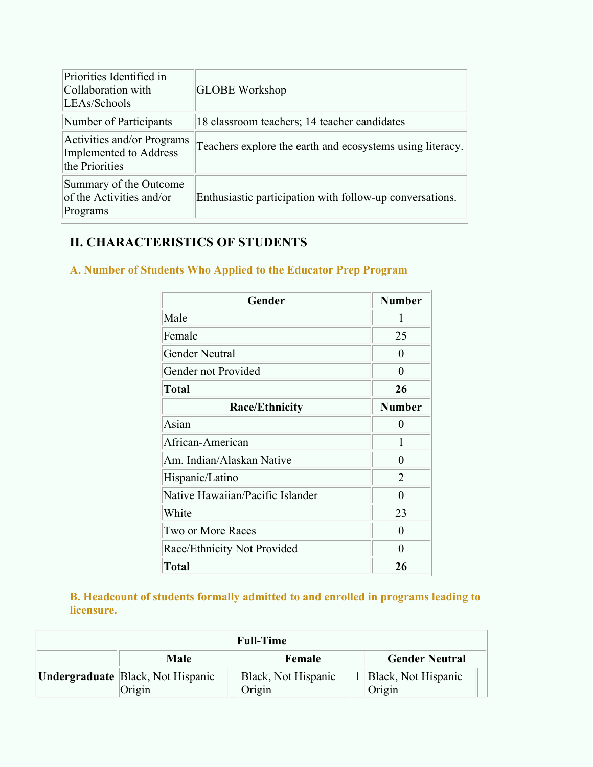| Priorities Identified in<br>Collaboration with<br>LEAs/Schools         | <b>GLOBE Workshop</b>                                     |
|------------------------------------------------------------------------|-----------------------------------------------------------|
| Number of Participants                                                 | 18 classroom teachers; 14 teacher candidates              |
| Activities and/or Programs<br>Implemented to Address<br>the Priorities | Teachers explore the earth and ecosystems using literacy. |
| Summary of the Outcome<br>of the Activities and/or<br>Programs         | Enthusiastic participation with follow-up conversations.  |

# **II. CHARACTERISTICS OF STUDENTS**

## **A. Number of Students Who Applied to the Educator Prep Program**

| Gender                           | <b>Number</b>  |
|----------------------------------|----------------|
| Male                             | 1              |
| Female                           | 25             |
| <b>Gender Neutral</b>            | $\overline{0}$ |
| Gender not Provided              | $\overline{0}$ |
| <b>Total</b>                     | 26             |
| <b>Race/Ethnicity</b>            | <b>Number</b>  |
| Asian                            | $\theta$       |
| African-American                 | 1              |
| Am. Indian/Alaskan Native        | $\theta$       |
| Hispanic/Latino                  | $\overline{2}$ |
| Native Hawaiian/Pacific Islander | $\theta$       |
| White                            | 23             |
| Two or More Races                | $\theta$       |
| Race/Ethnicity Not Provided      | $\theta$       |
| <b>Total</b>                     | 26             |

**B. Headcount of students formally admitted to and enrolled in programs leading to licensure.**

|                                                    | <b>Full-Time</b>              |                               |
|----------------------------------------------------|-------------------------------|-------------------------------|
| <b>Male</b>                                        | Female                        | <b>Gender Neutral</b>         |
| <b>Undergraduate</b> Black, Not Hispanic<br>Origin | Black, Not Hispanic<br>Origin | Black, Not Hispanic<br>Origin |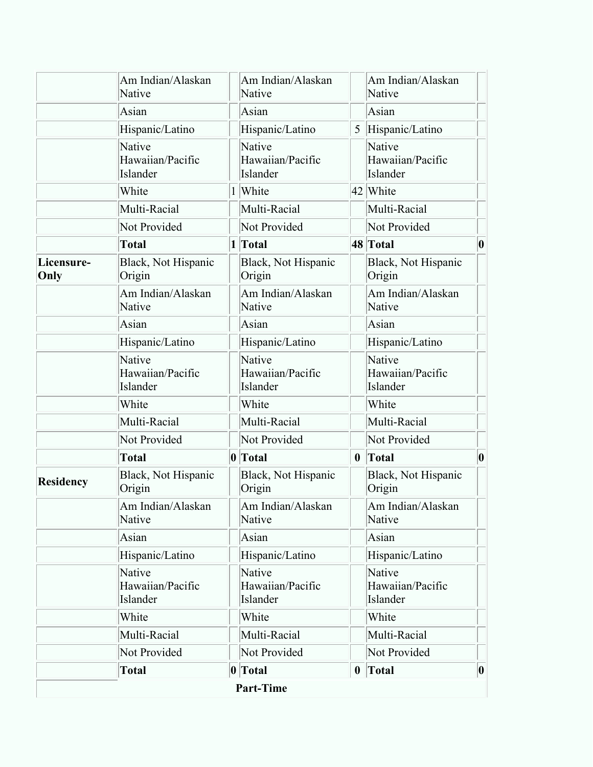|                    |                                        |                                        |                  | Total                                  |   |
|--------------------|----------------------------------------|----------------------------------------|------------------|----------------------------------------|---|
|                    | Not Provided                           | Not Provided                           |                  | Not Provided                           |   |
|                    | Multi-Racial                           | Multi-Racial                           |                  | Multi-Racial                           |   |
|                    | White                                  | White                                  |                  | White                                  |   |
|                    | Native<br>Hawaiian/Pacific<br>Islander | Native<br>Hawaiian/Pacific<br>Islander |                  | Native<br>Hawaiian/Pacific<br>Islander |   |
|                    | Hispanic/Latino                        | Hispanic/Latino                        |                  | Hispanic/Latino                        |   |
|                    | Asian                                  | Asian                                  |                  | Asian                                  |   |
|                    | Am Indian/Alaskan<br>Native            | Am Indian/Alaskan<br>Native            |                  | Am Indian/Alaskan<br>Native            |   |
| Residency          | Black, Not Hispanic<br>Origin          | Black, Not Hispanic<br>Origin          |                  | Black, Not Hispanic<br>Origin          |   |
|                    | <b>Total</b>                           | 0 Total                                | $\boldsymbol{0}$ | Total                                  |   |
|                    | Not Provided                           | Not Provided                           |                  | Not Provided                           |   |
|                    | Multi-Racial                           | Multi-Racial                           |                  | Multi-Racial                           |   |
|                    | White                                  | White                                  |                  | White                                  |   |
|                    | Native<br>Hawaiian/Pacific<br>Islander | Native<br>Hawaiian/Pacific<br>Islander |                  | Native<br>Hawaiian/Pacific<br>Islander |   |
|                    | Hispanic/Latino                        | Hispanic/Latino                        |                  | Hispanic/Latino                        |   |
|                    | Asian                                  | Asian                                  |                  | Asian                                  |   |
|                    | Am Indian/Alaskan<br>Native            | Am Indian/Alaskan<br>Native            |                  | Am Indian/Alaskan<br>Native            |   |
| Licensure-<br>Only | Black, Not Hispanic<br>Origin          | Black, Not Hispanic<br>Origin          |                  | Black, Not Hispanic<br>Origin          |   |
|                    | <b>Total</b>                           | 1 Total                                |                  | 48 Total                               | 0 |
|                    | Not Provided                           | Not Provided                           |                  | Not Provided                           |   |
|                    | Multi-Racial                           | Multi-Racial                           |                  | Multi-Racial                           |   |
|                    | White                                  | White                                  |                  | 42 White                               |   |
|                    | Native<br>Hawaiian/Pacific<br>Islander | Native<br>Hawaiian/Pacific<br>Islander |                  | Native<br>Hawaiian/Pacific<br>Islander |   |
|                    | Hispanic/Latino                        | Hispanic/Latino                        | 5                | Hispanic/Latino                        |   |
|                    | Asian                                  | Asian                                  |                  | Asian                                  |   |
|                    | Am Indian/Alaskan<br>Native            | Am Indian/Alaskan<br>Native            |                  | Am Indian/Alaskan<br>Native            |   |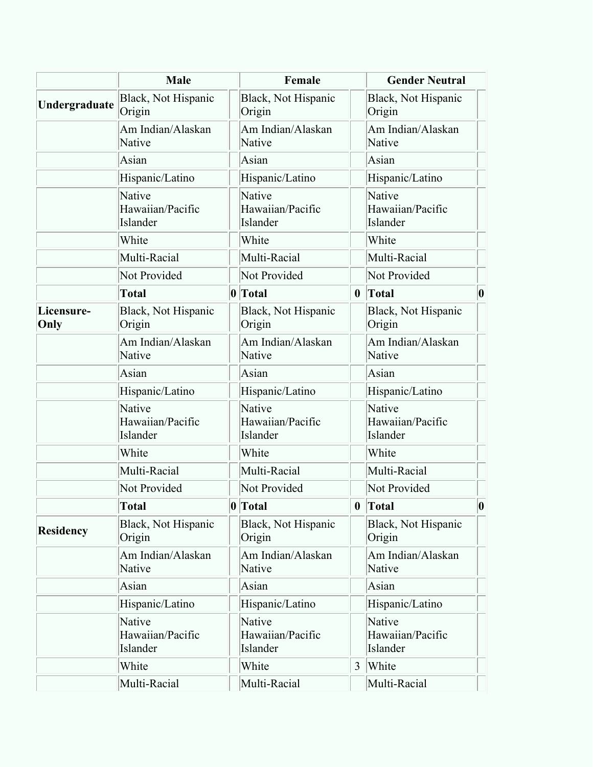|                    | Male                                   |             | Female                                 |                  | <b>Gender Neutral</b>                  |                  |
|--------------------|----------------------------------------|-------------|----------------------------------------|------------------|----------------------------------------|------------------|
| Undergraduate      | Black, Not Hispanic<br>Origin          |             | Black, Not Hispanic<br>Origin          |                  | Black, Not Hispanic<br>Origin          |                  |
|                    | Am Indian/Alaskan<br>Native            |             | Am Indian/Alaskan<br>Native            |                  | Am Indian/Alaskan<br>Native            |                  |
|                    | Asian                                  |             | Asian                                  |                  | Asian                                  |                  |
|                    | Hispanic/Latino                        |             | Hispanic/Latino                        |                  | Hispanic/Latino                        |                  |
|                    | Native<br>Hawaiian/Pacific<br>Islander |             | Native<br>Hawaiian/Pacific<br>Islander |                  | Native<br>Hawaiian/Pacific<br>Islander |                  |
|                    | White                                  |             | White                                  |                  | White                                  |                  |
|                    | Multi-Racial                           |             | Multi-Racial                           |                  | Multi-Racial                           |                  |
|                    | Not Provided                           |             | Not Provided                           |                  | Not Provided                           |                  |
|                    | <b>Total</b>                           | 0 Total     |                                        | $\bf{0}$         | Total                                  | 0                |
| Licensure-<br>Only | Black, Not Hispanic<br>Origin          |             | Black, Not Hispanic<br>Origin          |                  | Black, Not Hispanic<br>Origin          |                  |
|                    | Am Indian/Alaskan<br>Native            |             | Am Indian/Alaskan<br>Native            |                  | Am Indian/Alaskan<br>Native            |                  |
|                    | Asian                                  |             | Asian                                  |                  | Asian                                  |                  |
|                    | Hispanic/Latino                        |             | Hispanic/Latino                        |                  | Hispanic/Latino                        |                  |
|                    | Native<br>Hawaiian/Pacific<br>Islander |             | Native<br>Hawaiian/Pacific<br>Islander |                  | Native<br>Hawaiian/Pacific<br>Islander |                  |
|                    | White                                  |             | White                                  |                  | White                                  |                  |
|                    | Multi-Racial                           |             | Multi-Racial                           |                  | Multi-Racial                           |                  |
|                    | Not Provided                           |             | Not Provided                           |                  | Not Provided                           |                  |
|                    | <b>Total</b>                           | $ 0 $ Total |                                        | $\boldsymbol{0}$ | Total                                  | $\boldsymbol{0}$ |
| Residency          | Black, Not Hispanic<br>Origin          |             | Black, Not Hispanic<br>Origin          |                  | Black, Not Hispanic<br>Origin          |                  |
|                    | Am Indian/Alaskan<br>Native            |             | Am Indian/Alaskan<br>Native            |                  | Am Indian/Alaskan<br>Native            |                  |
|                    | Asian                                  |             | Asian                                  |                  | Asian                                  |                  |
|                    | Hispanic/Latino                        |             | Hispanic/Latino                        |                  | Hispanic/Latino                        |                  |
|                    | Native<br>Hawaiian/Pacific<br>Islander |             | Native<br>Hawaiian/Pacific<br>Islander |                  | Native<br>Hawaiian/Pacific<br>Islander |                  |
|                    | White                                  |             | White                                  | 3                | White                                  |                  |
|                    | Multi-Racial                           |             | Multi-Racial                           |                  | Multi-Racial                           |                  |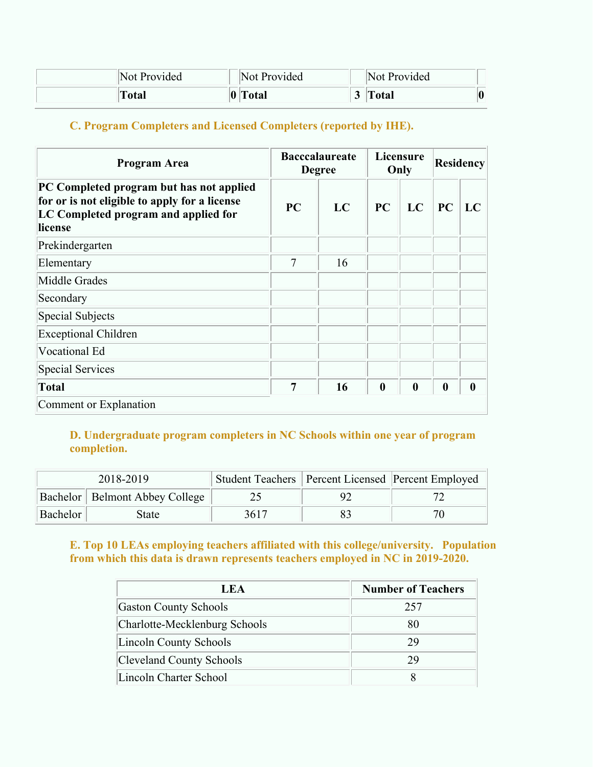| Not Provided |             | Not Provided | Not Provided |  |
|--------------|-------------|--------------|--------------|--|
| <b>Total</b> | $ 0\rangle$ | <b>Total</b> | <b>Total</b> |  |

# **C. Program Completers and Licensed Completers (reported by IHE).**

| Program Area                                                                                                                                 | <b>Bacccalaureate</b><br><b>Degree</b> |    | Licensure<br>Only |                  | Residency        |                  |
|----------------------------------------------------------------------------------------------------------------------------------------------|----------------------------------------|----|-------------------|------------------|------------------|------------------|
| PC Completed program but has not applied<br>for or is not eligible to apply for a license<br>LC Completed program and applied for<br>license | <b>PC</b>                              | LC | PC                | LC               | PC               | LC               |
| Prekindergarten                                                                                                                              |                                        |    |                   |                  |                  |                  |
| Elementary                                                                                                                                   | 7                                      | 16 |                   |                  |                  |                  |
| Middle Grades                                                                                                                                |                                        |    |                   |                  |                  |                  |
| Secondary                                                                                                                                    |                                        |    |                   |                  |                  |                  |
| Special Subjects                                                                                                                             |                                        |    |                   |                  |                  |                  |
| <b>Exceptional Children</b>                                                                                                                  |                                        |    |                   |                  |                  |                  |
| Vocational Ed                                                                                                                                |                                        |    |                   |                  |                  |                  |
| Special Services                                                                                                                             |                                        |    |                   |                  |                  |                  |
| Total                                                                                                                                        | 7                                      | 16 | $\bf{0}$          | $\boldsymbol{0}$ | $\boldsymbol{0}$ | $\boldsymbol{0}$ |
| Comment or Explanation                                                                                                                       |                                        |    |                   |                  |                  |                  |

#### **D. Undergraduate program completers in NC Schools within one year of program completion.**

|          | 2018-2019                               |      | Student Teachers   Percent Licensed   Percent Employed |
|----------|-----------------------------------------|------|--------------------------------------------------------|
|          | <b>Bachelor</b>   Belmont Abbey College |      |                                                        |
| Bachelor | State                                   | 3617 | 70                                                     |

#### **E. Top 10 LEAs employing teachers affiliated with this college/university. Population from which this data is drawn represents teachers employed in NC in 2019-2020.**

| LEA                           | <b>Number of Teachers</b> |
|-------------------------------|---------------------------|
| <b>Gaston County Schools</b>  | 257                       |
| Charlotte-Mecklenburg Schools | 80                        |
| Lincoln County Schools        | 29                        |
| Cleveland County Schools      | 29                        |
| Lincoln Charter School        |                           |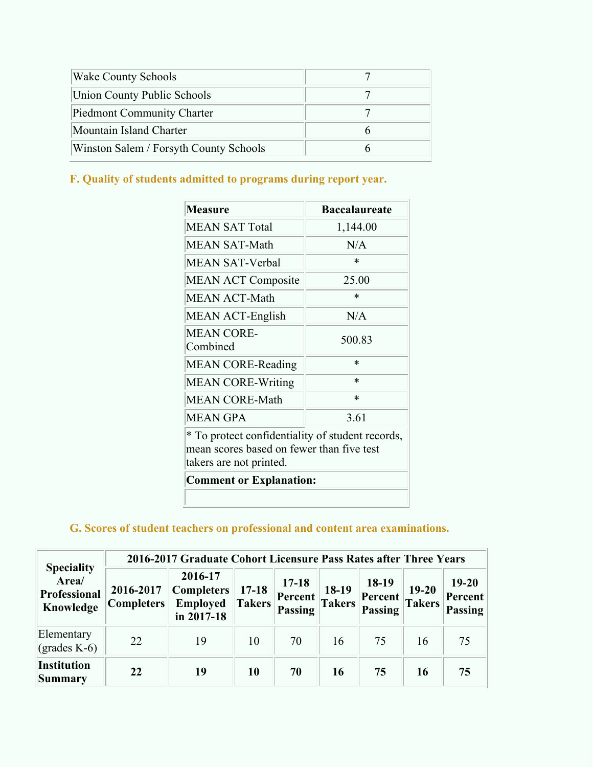| <b>Wake County Schools</b>             |  |
|----------------------------------------|--|
| Union County Public Schools            |  |
| Piedmont Community Charter             |  |
| Mountain Island Charter                |  |
| Winston Salem / Forsyth County Schools |  |

# **F. Quality of students admitted to programs during report year.**

| <b>Measure</b>                                                                                                           | <b>Baccalaureate</b> |
|--------------------------------------------------------------------------------------------------------------------------|----------------------|
| <b>MEAN SAT Total</b>                                                                                                    | 1,144.00             |
| <b>MEAN SAT-Math</b>                                                                                                     | N/A                  |
| <b>MEAN SAT-Verbal</b>                                                                                                   | $\ast$               |
| <b>MEAN ACT Composite</b>                                                                                                | 25.00                |
| <b>MEAN ACT-Math</b>                                                                                                     | *                    |
| MEAN ACT-English                                                                                                         | N/A                  |
| <b>MEAN CORE-</b><br>Combined                                                                                            | 500.83               |
| <b>MEAN CORE-Reading</b>                                                                                                 | $\ast$               |
| <b>MEAN CORE-Writing</b>                                                                                                 | $\ast$               |
| <b>MEAN CORE-Math</b>                                                                                                    | $\ast$               |
| <b>MEAN GPA</b>                                                                                                          | 3.61                 |
| * To protect confidentiality of student records,<br>mean scores based on fewer than five test<br>takers are not printed. |                      |
| <b>Comment or Explanation:</b>                                                                                           |                      |
|                                                                                                                          |                      |

## **G. Scores of student teachers on professional and content area examinations.**

|                                                         | 2016-2017 Graduate Cohort Licensure Pass Rates after Three Years |                                                            |                     |                                               |                        |                             |                            |                                 |
|---------------------------------------------------------|------------------------------------------------------------------|------------------------------------------------------------|---------------------|-----------------------------------------------|------------------------|-----------------------------|----------------------------|---------------------------------|
| <b>Speciality</b><br>Area/<br>Professional<br>Knowledge | 2016-2017<br> Complexs                                           | 2016-17<br><b>Completers</b><br>Employed<br>in $2017 - 18$ | $17 - 18$<br>Takers | $17 - 18$<br><b>Percent</b><br><b>Passing</b> | 18-19<br><b>Takers</b> | 18-19<br>Percent<br>Passing | $19 - 20$<br><b>Takers</b> | $19 - 20$<br>Percent<br>Passing |
| Elementary<br>$\left( \text{grades } K - 6 \right)$     | 22                                                               | 19                                                         | 10                  | 70                                            | 16                     | 75                          | 16                         | 75                              |
| Institution<br>Summary                                  | 22                                                               | 19                                                         | 10                  | 70                                            | 16                     | 75                          | 16                         | 75                              |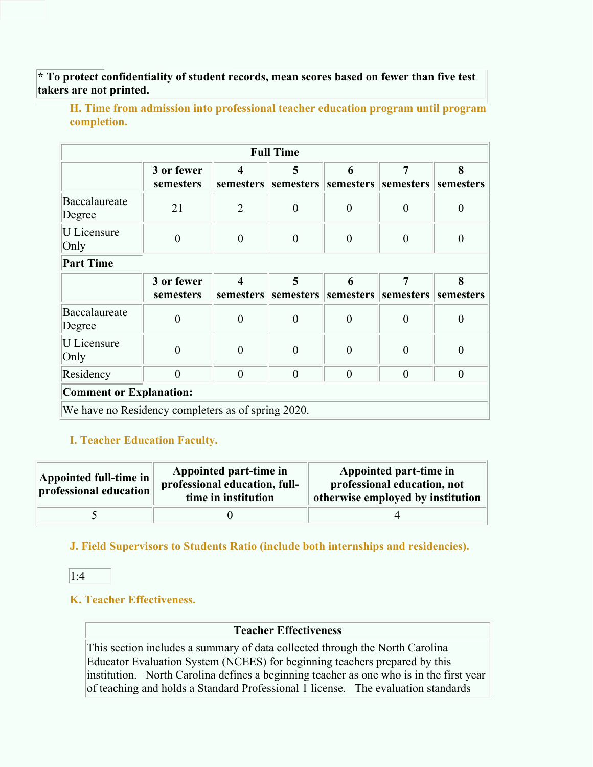**\* To protect confidentiality of student records, mean scores based on fewer than five test takers are not printed.**

**H. Time from admission into professional teacher education program until program completion.**

|                                                    |                         |                  | <b>Full Time</b> |                  |                                                                |                  |
|----------------------------------------------------|-------------------------|------------------|------------------|------------------|----------------------------------------------------------------|------------------|
|                                                    | 3 or fewer<br>semesters | 4                | 5                | 6                | 7<br>semesters   semesters   semesters   semesters   semesters | 8                |
| Baccalaureate<br>Degree                            | 21                      | $\overline{2}$   | $\boldsymbol{0}$ | $\boldsymbol{0}$ | $\boldsymbol{0}$                                               | $\boldsymbol{0}$ |
| <b>U</b> Licensure<br>Only                         | $\boldsymbol{0}$        | $\boldsymbol{0}$ | $\boldsymbol{0}$ | $\boldsymbol{0}$ | $\boldsymbol{0}$                                               | $\boldsymbol{0}$ |
| <b>Part Time</b>                                   |                         |                  |                  |                  |                                                                |                  |
|                                                    | 3 or fewer<br>semesters | 4                | 5                | 6                | 7<br>semesters   semesters   semesters   semesters   semesters | 8                |
| Baccalaureate<br>Degree                            | $\theta$                | $\boldsymbol{0}$ | $\boldsymbol{0}$ | $\boldsymbol{0}$ | $\boldsymbol{0}$                                               | $\boldsymbol{0}$ |
| U Licensure<br>Only                                | $\overline{0}$          | $\boldsymbol{0}$ | $\boldsymbol{0}$ | $\boldsymbol{0}$ | $\boldsymbol{0}$                                               | $\boldsymbol{0}$ |
| Residency                                          | $\theta$                | $\boldsymbol{0}$ | $\overline{0}$   | $\overline{0}$   | $\overline{0}$                                                 | $\theta$         |
| <b>Comment or Explanation:</b>                     |                         |                  |                  |                  |                                                                |                  |
| We have no Residency completers as of spring 2020. |                         |                  |                  |                  |                                                                |                  |

## **I. Teacher Education Faculty.**

| Appointed full-time in<br>professional education | Appointed part-time in<br>professional education, full-<br>time in institution | Appointed part-time in<br>professional education, not<br>otherwise employed by institution |
|--------------------------------------------------|--------------------------------------------------------------------------------|--------------------------------------------------------------------------------------------|
|                                                  |                                                                                |                                                                                            |

**J. Field Supervisors to Students Ratio (include both internships and residencies).**

 $|1:4|$ 

## **K. Teacher Effectiveness.**

#### **Teacher Effectiveness**

This section includes a summary of data collected through the North Carolina Educator Evaluation System (NCEES) for beginning teachers prepared by this institution. North Carolina defines a beginning teacher as one who is in the first year of teaching and holds a Standard Professional 1 license. The evaluation standards